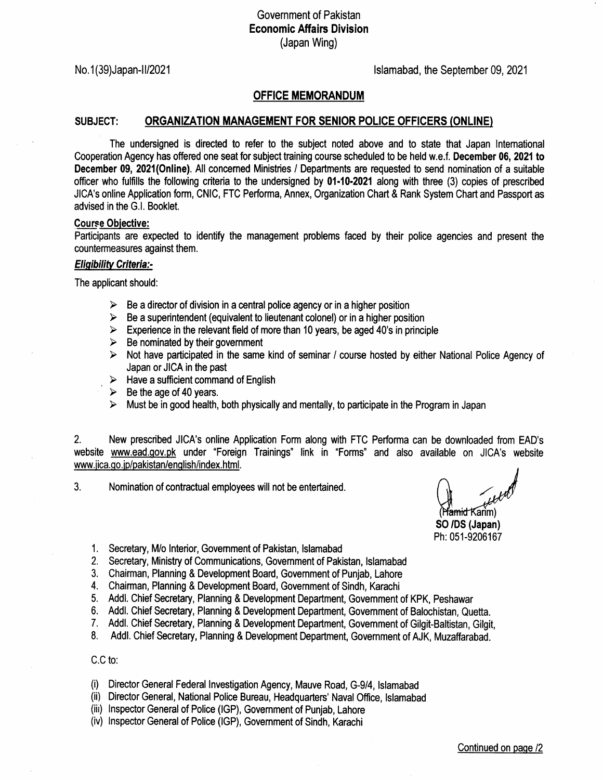# Government of Pakistan Economic Affairs Division (Japan Wing)

No. 1(39)Japan-II/2021 **lslamabad, the September 09, 2021** 

## OFFICE MEMORANDUM

### SUBJECT: ORGANIZATION MANAGEMENT FOR SENIOR POLICE OFFICERS (ONLINE)

The undersigned is directed to refer to the subject noted above and to state that Japan lntemational Cooperation Agency has offered one seat for subject training course scheduled to be held w.e.f. December 06, 2021 to December 09,2021(Online). All concemed Ministries / Departments are requested to send nomination of a suitable officer who fulfills the following criteria to the undersigned by 01-10-2021 along with three (3) copies of prescribed JICA's online Application form, CNIC, FTC Performa, Annex, Organization Chart & Rank System Chart and Passport as advised in the G.l. Booklet.

### **Course Objective:**

Participants are expected to identify the management problems faced by their police agencies and present the countermeasures against them.

#### **Eligibility Criteria:-**

The applicant should:

- $\triangleright$  Be a director of division in a central police agency or in a higher position
- $\triangleright$  Be a superintendent (equivalent to lieutenant colonel) or in a higher position
- $\triangleright$  Experience in the relevant field of more than 10 years, be aged 40's in principle
- $\triangleright$  Be nominated by their government
- Not have participated in the same kind of seminar / course hosted by either National Police Agency of  $\blacktriangleright$ Japan or JICA in the past
- $\triangleright$  Have a sufficient command of English
- $\triangleright$  Be the age of 40 years.
- $\triangleright$  Must be in good health, both physically and mentally, to participate in the Program in Japan

2. New prescribed JICA's online Application Form along with FTC Performa can be downloaded from EAD's website www.ead.gov.pk under "Foreign Trainings" link in "Forms" and also available on JICA's website www.jica.go.jp/pakistan/english/index.html.

3. Nomination of contractual employees will not be entertained

H<del>amid</del> Karim)

SO /DS (Japan) Ph:051-9206167

- 1. Secretary, M/o lnterior, Govemment of Pakistan, lslamabad
- 2. Secretary, Ministry of Communications, Govemment of Pakistan, lslamabad
- 3. Chairman, Planning & Development Board, Govemment of Punjab, Lahore
- 4. Chairman, Planning & Development Board, Government of Sindh, Karachi
- 5. Addl. Chief Secretary, Planning & Development Department, Govemment of KPK, Peshawar
- 6. Addl. Chief Secretary, Planning & Development Department, Govemment of Balochistan, Quetta.
- 7. Addl. Chief Secretary, Planning & Development Department, Government of Gilgit-Baltistan, Gilgit, 8. Addl. Chief Secretary, Planning & Development Department, Government of AJK, Muzaffarabad.
- 

C.C to:

- (i) Director General Federal lnvestigation Agency, Mauve Road, G-9/4, lslamabad
- (ii) Director General, National Police Bureau, Headquarters' Naval Office, lslamabad
- (iii) Inspector General of Police (IGP), Government of Punjab, Lahore
- (iv) lnspector General of Police (lGP), Government of Sindh, Karachi